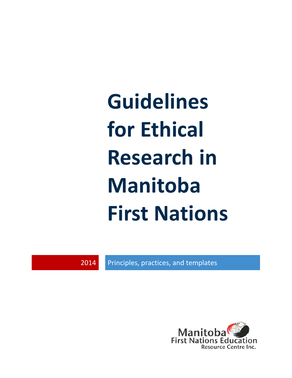**Guidelines for Ethical Research in Manitoba First Nations**

2014 Principles, practices, and templates

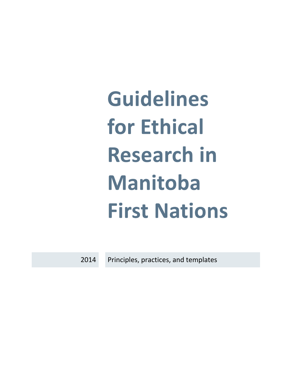**Guidelines** for Ethical **Research in Manitoba First Nations** 

2014 Principles, practices, and templates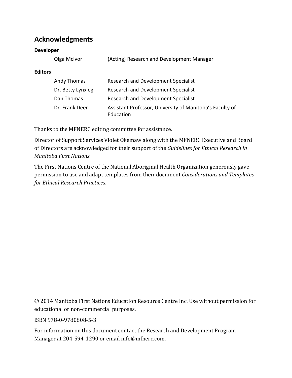### **Acknowledgments**

#### **Developer**

|                | Olga McIvor       | (Acting) Research and Development Manager |
|----------------|-------------------|-------------------------------------------|
| <b>Editors</b> |                   |                                           |
|                | Andy Thomas       | Research and Development Specialist       |
|                | Dr. Betty Lynxleg | Research and Development Specialist       |
|                | Dan Thomas        | Research and Development Specialist       |

Dr. Frank Deer Assistant Professor, University of Manitoba's Faculty of Education

Thanks to the MFNERC editing committee for assistance.

Director of Support Services Violet Okemaw along with the MFNERC Executive and Board of Directors are acknowledged for their support of the *Guidelines for Ethical Research in Manitoba First Nations*.

The First Nations Centre of the National Aboriginal Health Organization generously gave permission to use and adapt templates from their document *Considerations and Templates for Ethical Research Practices*.

© 2014 Manitoba First Nations Education Resource Centre Inc. Use without permission for educational or non-commercial purposes.

ISBN 978-0-9780808-5-3

For information on this document contact the Research and Development Program Manager at 204-594-1290 or email info@mfnerc.com.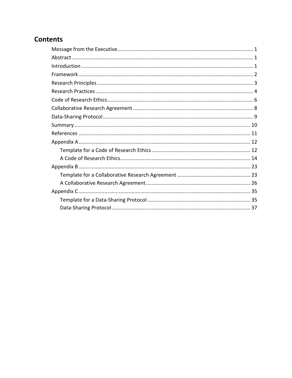### **Contents**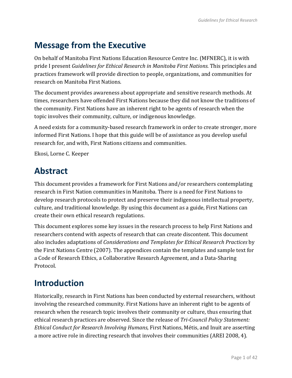# <span id="page-6-0"></span>**Message from the Executive**

On behalf of Manitoba First Nations Education Resource Centre Inc. (MFNERC), it is with pride I present *Guidelines for Ethical Research in Manitoba First Nations.* This principles and practices framework will provide direction to people, organizations, and communities for research on Manitoba First Nations.

The document provides awareness about appropriate and sensitive research methods. At times, researchers have offended First Nations because they did not know the traditions of the community. First Nations have an inherent right to be agents of research when the topic involves their community, culture, or indigenous knowledge.

A need exists for a community-based research framework in order to create stronger, more informed First Nations. I hope that this guide will be of assistance as you develop useful research for, and with, First Nations citizens and communities.

Ekosi, Lorne C. Keeper

# <span id="page-6-1"></span>**Abstract**

This document provides a framework for First Nations and/or researchers contemplating research in First Nation communities in Manitoba. There is a need for First Nations to develop research protocols to protect and preserve their indigenous intellectual property, culture, and traditional knowledge. By using this document as a guide, First Nations can create their own ethical research regulations.

This document explores some key issues in the research process to help First Nations and researchers contend with aspects of research that can create discontent. This document also includes adaptations of *Considerations and Templates for Ethical Research Practices* by the First Nations Centre (2007). The appendices contain the templates and sample text for a Code of Research Ethics, a Collaborative Research Agreement, and a Data-Sharing Protocol.

# <span id="page-6-2"></span>**Introduction**

Historically, research in First Nations has been conducted by external researchers, without involving the researched community. First Nations have an inherent right to be agents of research when the research topic involves their community or culture, thus ensuring that ethical research practices are observed. Since the release of *Tri-Council Policy Statement: Ethical Conduct for Research Involving Humans*, First Nations, Métis, and Inuit are asserting a more active role in directing research that involves their communities (AREI 2008, 4).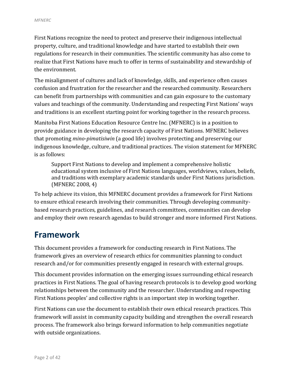First Nations recognize the need to protect and preserve their indigenous intellectual property, culture, and traditional knowledge and have started to establish their own regulations for research in their communities. The scientific community has also come to realize that First Nations have much to offer in terms of sustainability and stewardship of the environment.

The misalignment of cultures and lack of knowledge, skills, and experience often causes confusion and frustration for the researcher and the researched community. Researchers can benefit from partnerships with communities and can gain exposure to the customary values and teachings of the community. Understanding and respecting First Nations' ways and traditions is an excellent starting point for working together in the research process.

Manitoba First Nations Education Resource Centre Inc. (MFNERC) is in a position to provide guidance in developing the research capacity of First Nations. MFNERC believes that promoting *mino-pimatisiwin* (a good life) involves protecting and preserving our indigenous knowledge, culture, and traditional practices. The vision statement for MFNERC is as follows:

Support First Nations to develop and implement a comprehensive holistic educational system inclusive of First Nations languages, worldviews, values, beliefs, and traditions with exemplary academic standards under First Nations jurisdiction. (MFNERC 2008, 4)

To help achieve its vision, this MFNERC document provides a framework for First Nations to ensure ethical research involving their communities. Through developing communitybased research practices, guidelines, and research committees, communities can develop and employ their own research agendas to build stronger and more informed First Nations.

# <span id="page-7-0"></span>**Framework**

This document provides a framework for conducting research in First Nations. The framework gives an overview of research ethics for communities planning to conduct research and/or for communities presently engaged in research with external groups.

This document provides information on the emerging issues surrounding ethical research practices in First Nations. The goal of having research protocols is to develop good working relationships between the community and the researcher. Understanding and respecting First Nations peoples' and collective rights is an important step in working together.

First Nations can use the document to establish their own ethical research practices. This framework will assist in community capacity building and strengthen the overall research process. The framework also brings forward information to help communities negotiate with outside organizations.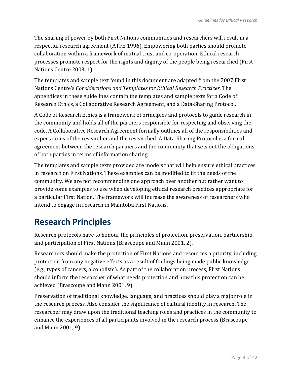The sharing of power by both First Nations communities and researchers will result in a respectful research agreement (ATFE 1996). Empowering both parties should promote collaboration within a framework of mutual trust and co-operation. Ethical research processes promote respect for the rights and dignity of the people being researched (First Nations Centre 2003, 1).

The templates and sample text found in this document are adapted from the 2007 First Nations Centre's *Considerations and Templates for Ethical Research Practices*. The appendices in these guidelines contain the templates and sample texts for a Code of Research Ethics, a Collaborative Research Agreement, and a Data-Sharing Protocol.

A Code of Research Ethics is a framework of principles and protocols to guide research in the community and holds all of the partners responsible for respecting and observing the code. A Collaborative Research Agreement formally outlines all of the responsibilities and expectations of the researcher and the researched. A Data-Sharing Protocol is a formal agreement between the research partners and the community that sets out the obligations of both parties in terms of information sharing.

The templates and sample texts provided are models that will help ensure ethical practices in research on First Nations. These examples can be modified to fit the needs of the community. We are not recommending one approach over another but rather want to provide some examples to use when developing ethical research practices appropriate for a particular First Nation. The framework will increase the awareness of researchers who intend to engage in research in Manitoba First Nations.

# <span id="page-8-0"></span>**Research Principles**

Research protocols have to honour the principles of protection, preservation, partnership, and participation of First Nations (Brascoupe and Mann 2001, 2).

Researchers should make the protection of First Nations and resources a priority, including protection from any negative effects as a result of findings being made public knowledge (e.g., types of cancers, alcoholism). As part of the collaboration process, First Nations should inform the researcher of what needs protection and how this protection can be achieved (Brascoupe and Mann 2001, 9).

Preservation of traditional knowledge, language, and practices should play a major role in the research process. Also consider the significance of cultural identity in research. The researcher may draw upon the traditional teaching roles and practices in the community to enhance the experiences of all participants involved in the research process (Brascoupe and Mann 2001, 9).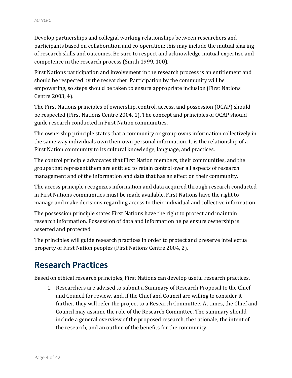Develop partnerships and collegial working relationships between researchers and participants based on collaboration and co-operation; this may include the mutual sharing of research skills and outcomes. Be sure to respect and acknowledge mutual expertise and competence in the research process (Smith 1999, 100).

First Nations participation and involvement in the research process is an entitlement and should be respected by the researcher. Participation by the community will be empowering, so steps should be taken to ensure appropriate inclusion (First Nations Centre 2003, 4).

The First Nations principles of ownership, control, access, and possession (OCAP) should be respected (First Nations Centre 2004, 1). The concept and principles of OCAP should guide research conducted in First Nation communities.

The ownership principle states that a community or group owns information collectively in the same way individuals own their own personal information. It is the relationship of a First Nation community to its cultural knowledge, language, and practices.

The control principle advocates that First Nation members, their communities, and the groups that represent them are entitled to retain control over all aspects of research management and of the information and data that has an effect on their community.

The access principle recognizes information and data acquired through research conducted in First Nations communities must be made available. First Nations have the right to manage and make decisions regarding access to their individual and collective information.

The possession principle states First Nations have the right to protect and maintain research information. Possession of data and information helps ensure ownership is asserted and protected.

The principles will guide research practices in order to protect and preserve intellectual property of First Nation peoples (First Nations Centre 2004, 2).

# <span id="page-9-0"></span>**Research Practices**

Based on ethical research principles, First Nations can develop useful research practices.

1. Researchers are advised to submit a Summary of Research Proposal to the Chief and Council for review, and, if the Chief and Council are willing to consider it further, they will refer the project to a Research Committee. At times, the Chief and Council may assume the role of the Research Committee. The summary should include a general overview of the proposed research, the rationale, the intent of the research, and an outline of the benefits for the community.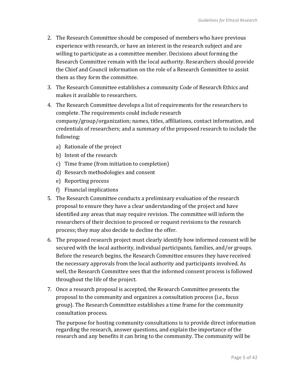- 2. The Research Committee should be composed of members who have previous experience with research, or have an interest in the research subject and are willing to participate as a committee member. Decisions about forming the Research Committee remain with the local authority. Researchers should provide the Chief and Council information on the role of a Research Committee to assist them as they form the committee.
- 3. The Research Committee establishes a community Code of Research Ethics and makes it available to researchers.
- 4. The Research Committee develops a list of requirements for the researchers to complete. The requirements could include research company/group/organization; names, titles, affiliations, contact information, and credentials of researchers; and a summary of the proposed research to include the following:
	- a) Rationale of the project
	- b) Intent of the research
	- c) Time frame (from initiation to completion)
	- d) Research methodologies and consent
	- e) Reporting process
	- f) Financial implications
- 5. The Research Committee conducts a preliminary evaluation of the research proposal to ensure they have a clear understanding of the project and have identified any areas that may require revision. The committee will inform the researchers of their decision to proceed or request revisions to the research process; they may also decide to decline the offer.
- 6. The proposed research project must clearly identify how informed consent will be secured with the local authority, individual participants, families, and/or groups. Before the research begins, the Research Committee ensures they have received the necessary approvals from the local authority and participants involved. As well, the Research Committee sees that the informed consent process is followed throughout the life of the project.
- 7. Once a research proposal is accepted, the Research Committee presents the proposal to the community and organizes a consultation process (i.e., focus group). The Research Committee establishes a time frame for the community consultation process.

The purpose for hosting community consultations is to provide direct information regarding the research, answer questions, and explain the importance of the research and any benefits it can bring to the community. The community will be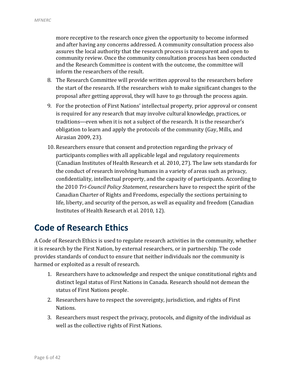more receptive to the research once given the opportunity to become informed and after having any concerns addressed. A community consultation process also assures the local authority that the research process is transparent and open to community review. Once the community consultation process has been conducted and the Research Committee is content with the outcome, the committee will inform the researchers of the result.

- 8. The Research Committee will provide written approval to the researchers before the start of the research. If the researchers wish to make significant changes to the proposal after getting approval, they will have to go through the process again.
- 9. For the protection of First Nations' intellectual property, prior approval or consent is required for any research that may involve cultural knowledge, practices, or traditions—even when it is not a subject of the research. It is the researcher's obligation to learn and apply the protocols of the community (Gay, Mills, and Airasian 2009, 23).
- 10. Researchers ensure that consent and protection regarding the privacy of participants complies with all applicable legal and regulatory requirements (Canadian Institutes of Health Research et al. 2010, 27). The law sets standards for the conduct of research involving humans in a variety of areas such as privacy, confidentiality, intellectual property, and the capacity of participants. According to the 2010 *Tri-Council Policy Statement*, researchers have to respect the spirit of the Canadian Charter of Rights and Freedoms, especially the sections pertaining to life, liberty, and security of the person, as well as equality and freedom (Canadian Institutes of Health Research et al. 2010, 12).

# <span id="page-11-0"></span>**Code of Research Ethics**

A Code of Research Ethics is used to regulate research activities in the community, whether it is research by the First Nation, by external researchers, or in partnership. The code provides standards of conduct to ensure that neither individuals nor the community is harmed or exploited as a result of research.

- 1. Researchers have to acknowledge and respect the unique constitutional rights and distinct legal status of First Nations in Canada. Research should not demean the status of First Nations people.
- 2. Researchers have to respect the sovereignty, jurisdiction, and rights of First Nations.
- 3. Researchers must respect the privacy, protocols, and dignity of the individual as well as the collective rights of First Nations.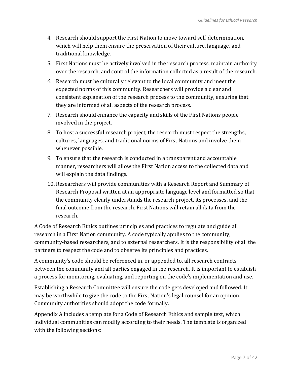- 4. Research should support the First Nation to move toward self-determination, which will help them ensure the preservation of their culture, language, and traditional knowledge.
- 5. First Nations must be actively involved in the research process, maintain authority over the research, and control the information collected as a result of the research.
- 6. Research must be culturally relevant to the local community and meet the expected norms of this community. Researchers will provide a clear and consistent explanation of the research process to the community, ensuring that they are informed of all aspects of the research process.
- 7. Research should enhance the capacity and skills of the First Nations people involved in the project.
- 8. To host a successful research project, the research must respect the strengths, cultures, languages, and traditional norms of First Nations and involve them whenever possible.
- 9. To ensure that the research is conducted in a transparent and accountable manner, researchers will allow the First Nation access to the collected data and will explain the data findings.
- 10. Researchers will provide communities with a Research Report and Summary of Research Proposal written at an appropriate language level and formatted so that the community clearly understands the research project, its processes, and the final outcome from the research. First Nations will retain all data from the research.

A Code of Research Ethics outlines principles and practices to regulate and guide all research in a First Nation community. A code typically applies to the community, community-based researchers, and to external researchers. It is the responsibility of all the partners to respect the code and to observe its principles and practices.

A community's code should be referenced in, or appended to, all research contracts between the community and all parties engaged in the research. It is important to establish a process for monitoring, evaluating, and reporting on the code's implementation and use.

Establishing a Research Committee will ensure the code gets developed and followed. It may be worthwhile to give the code to the First Nation's legal counsel for an opinion. Community authorities should adopt the code formally.

Appendix A includes a template for a Code of Research Ethics and sample text, which individual communities can modify according to their needs. The template is organized with the following sections: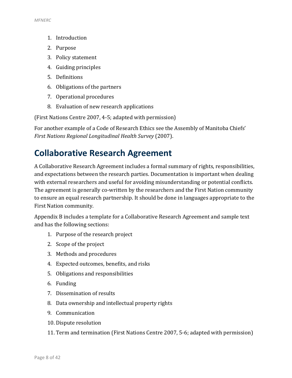- 1. Introduction
- 2. Purpose
- 3. Policy statement
- 4. Guiding principles
- 5. Definitions
- 6. Obligations of the partners
- 7. Operational procedures
- 8. Evaluation of new research applications

(First Nations Centre 2007, 4-5; adapted with permission)

For another example of a Code of Research Ethics see the Assembly of Manitoba Chiefs' *First Nations Regional Longitudinal Health Survey* (2007).

# <span id="page-13-0"></span>**Collaborative Research Agreement**

A Collaborative Research Agreement includes a formal summary of rights, responsibilities, and expectations between the research parties. Documentation is important when dealing with external researchers and useful for avoiding misunderstanding or potential conflicts. The agreement is generally co-written by the researchers and the First Nation community to ensure an equal research partnership. It should be done in languages appropriate to the First Nation community.

Appendix B includes a template for a Collaborative Research Agreement and sample text and has the following sections:

- 1. Purpose of the research project
- 2. Scope of the project
- 3. Methods and procedures
- 4. Expected outcomes, benefits, and risks
- 5. Obligations and responsibilities
- 6. Funding
- 7. Dissemination of results
- 8. Data ownership and intellectual property rights
- 9. Communication
- 10. Dispute resolution
- 11. Term and termination (First Nations Centre 2007, 5-6; adapted with permission)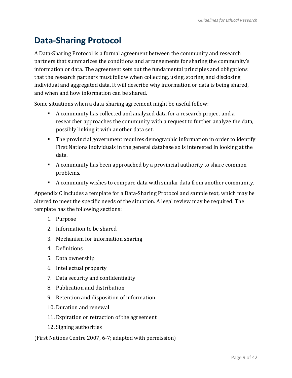# <span id="page-14-0"></span>**Data-Sharing Protocol**

A Data-Sharing Protocol is a formal agreement between the community and research partners that summarizes the conditions and arrangements for sharing the community's information or data. The agreement sets out the fundamental principles and obligations that the research partners must follow when collecting, using, storing, and disclosing individual and aggregated data. It will describe why information or data is being shared, and when and how information can be shared.

Some situations when a data-sharing agreement might be useful follow:

- A community has collected and analyzed data for a research project and a researcher approaches the community with a request to further analyze the data, possibly linking it with another data set.
- The provincial government requires demographic information in order to identify First Nations individuals in the general database so is interested in looking at the data.
- A community has been approached by a provincial authority to share common problems.
- A community wishes to compare data with similar data from another community.

Appendix C includes a template for a Data-Sharing Protocol and sample text, which may be altered to meet the specific needs of the situation. A legal review may be required. The template has the following sections:

- 1. Purpose
- 2. Information to be shared
- 3. Mechanism for information sharing
- 4. Definitions
- 5. Data ownership
- 6. Intellectual property
- 7. Data security and confidentiality
- 8. Publication and distribution
- 9. Retention and disposition of information
- 10. Duration and renewal
- 11. Expiration or retraction of the agreement
- 12. Signing authorities

(First Nations Centre 2007, 6-7; adapted with permission)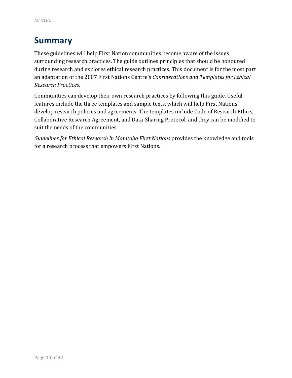# <span id="page-15-0"></span>**Summary**

These guidelines will help First Nation communities become aware of the issues surrounding research practices. The guide outlines principles that should be honoured during research and explores ethical research practices. This document is for the most part an adaptation of the 2007 First Nations Centre's *Considerations and Templates for Ethical Research Practices*.

Communities can develop their own research practices by following this guide. Useful features include the three templates and sample texts, which will help First Nations develop research policies and agreements. The templates include Code of Research Ethics, Collaborative Research Agreement, and Data-Sharing Protocol, and they can be modified to suit the needs of the communities.

*Guidelines for Ethical Research in Manitoba First Nations* provides the knowledge and tools for a research process that empowers First Nations.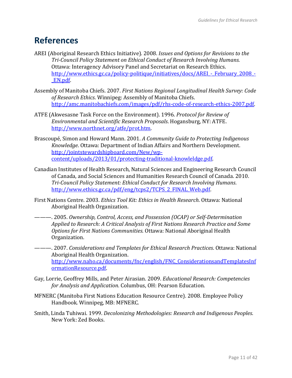## <span id="page-16-0"></span>**References**

- AREI (Aboriginal Research Ethics Initiative). 2008. *Issues and Options for Revisions to the Tri-Council Policy Statement on Ethical Conduct of Research Involving Humans.*  Ottawa: Interagency Advisory Panel and Secretariat on Research Ethics. http://www.ethics.gc.ca/policy-politique/initiatives/docs/AREI - February 2008 -[\\_EN.pdf.](http://www.ethics.gc.ca/policy-politique/initiatives/docs/AREI_-_February_2008_-_EN.pdf)
- Assembly of Manitoba Chiefs. 2007. *First Nations Regional Longitudinal Health Survey: Code of Research Ethics*. Winnipeg: Assembly of Manitoba Chiefs. [http://amc.manitobachiefs.com/images/pdf/rhs-code-of-research-ethics-2007.pdf.](http://amc.manitobachiefs.com/images/pdf/rhs-code-of-research-ethics-2007.pdf)
- ATFE (Akwesasne Task Force on the Environment). 1996. *Protocol for Review of Environmental and Scientific Research Proposals*. Hogansburg, NY: ATFE. [http://www.northnet.org/atfe/prot.htm.](http://www.northnet.org/atfe/prot.htm)
- Brascoupé, Simon and Howard Mann. 2001. *A Community Guide to Protecting Indigenous Knowledge*. Ottawa: Department of Indian Affairs and Northern Development. [http://jointstewardshipboard.com/New/wp](http://jointstewardshipboard.com/New/wp-content/uploads/2013/01/protecting-traditional-knowleldge.pdf)[content/uploads/2013/01/protecting-traditional-knowleldge.pdf.](http://jointstewardshipboard.com/New/wp-content/uploads/2013/01/protecting-traditional-knowleldge.pdf)
- Canadian Institutes of Health Research, Natural Sciences and Engineering Research Council of Canada, and Social Sciences and Humanities Research Council of Canada. 2010. *Tri-Council Policy Statement: Ethical Conduct for Research Involving Humans*. [http://www.ethics.gc.ca/pdf/eng/tcps2/TCPS\\_2\\_FINAL\\_Web.pdf.](http://www.ethics.gc.ca/pdf/eng/tcps2/TCPS_2_FINAL_Web.pdf)
- First Nations Centre. 2003. *Ethics Tool Kit: Ethics in Health Research*. Ottawa: National Aboriginal Health Organization.
- ———. 2005. *Ownership, Control, Access, and Possession (OCAP) or Self-Determination Applied to Research: A Critical Analysis of First Nations Research Practice and Some Options for First Nations Communities*. Ottawa: National Aboriginal Health Organization.
- ———. 2007. *Considerations and Templates for Ethical Research Practices*. Ottawa: National Aboriginal Health Organization. [http://www.naho.ca/documents/fnc/english/FNC\\_ConsiderationsandTemplatesInf](http://www.naho.ca/documents/fnc/english/FNC_ConsiderationsandTemplatesInformationResource.pdf) [ormationResource.pdf.](http://www.naho.ca/documents/fnc/english/FNC_ConsiderationsandTemplatesInformationResource.pdf)
- Gay, Lorrie, Geoffrey Mills, and Peter Airasian. 2009. *Educational Research: Competencies for Analysis and Application*. Columbus, OH: Pearson Education.
- MFNERC (Manitoba First Nations Education Resource Centre). 2008. Employee Policy Handbook. Winnipeg, MB: MFNERC.
- Smith, Linda Tuhiwai. 1999. *Decolonizing Methodologies: Research and Indigenous Peoples*. New York: Zed Books.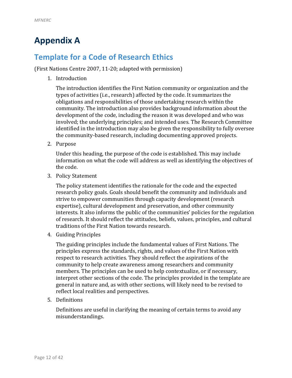# <span id="page-17-0"></span>**Appendix A**

## <span id="page-17-1"></span>**Template for a Code of Research Ethics**

(First Nations Centre 2007, 11-20; adapted with permission)

1. Introduction

The introduction identifies the First Nation community or organization and the types of activities (i.e., research) affected by the code. It summarizes the obligations and responsibilities of those undertaking research within the community. The introduction also provides background information about the development of the code, including the reason it was developed and who was involved; the underlying principles; and intended uses. The Research Committee identified in the introduction may also be given the responsibility to fully oversee the community-based research, including documenting approved projects.

2. Purpose

Under this heading, the purpose of the code is established. This may include information on what the code will address as well as identifying the objectives of the code.

3. Policy Statement

The policy statement identifies the rationale for the code and the expected research policy goals. Goals should benefit the community and individuals and strive to empower communities through capacity development (research expertise), cultural development and preservation, and other community interests. It also informs the public of the communities' policies for the regulation of research. It should reflect the attitudes, beliefs, values, principles, and cultural traditions of the First Nation towards research.

4. Guiding Principles

The guiding principles include the fundamental values of First Nations. The principles express the standards, rights, and values of the First Nation with respect to research activities. They should reflect the aspirations of the community to help create awareness among researchers and community members. The principles can be used to help contextualize, or if necessary, interpret other sections of the code. The principles provided in the template are general in nature and, as with other sections, will likely need to be revised to reflect local realities and perspectives.

5. Definitions

Definitions are useful in clarifying the meaning of certain terms to avoid any misunderstandings.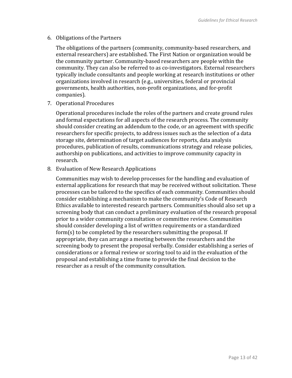6. Obligations of the Partners

The obligations of the partners (community, community-based researchers, and external researchers) are established. The First Nation or organization would be the community partner. Community-based researchers are people within the community. They can also be referred to as co-investigators. External researchers typically include consultants and people working at research institutions or other organizations involved in research (e.g., universities, federal or provincial governments, health authorities, non-profit organizations, and for-profit companies).

7. Operational Procedures

Operational procedures include the roles of the partners and create ground rules and formal expectations for all aspects of the research process. The community should consider creating an addendum to the code, or an agreement with specific researchers for specific projects, to address issues such as the selection of a data storage site, determination of target audiences for reports, data analysis procedures, publication of results, communications strategy and release policies, authorship on publications, and activities to improve community capacity in research.

8. Evaluation of New Research Applications

Communities may wish to develop processes for the handling and evaluation of external applications for research that may be received without solicitation. These processes can be tailored to the specifics of each community. Communities should consider establishing a mechanism to make the community's Code of Research Ethics available to interested research partners. Communities should also set up a screening body that can conduct a preliminary evaluation of the research proposal prior to a wider community consultation or committee review. Communities should consider developing a list of written requirements or a standardized form(s) to be completed by the researchers submitting the proposal. If appropriate, they can arrange a meeting between the researchers and the screening body to present the proposal verbally. Consider establishing a series of considerations or a formal review or scoring tool to aid in the evaluation of the proposal and establishing a time frame to provide the final decision to the researcher as a result of the community consultation.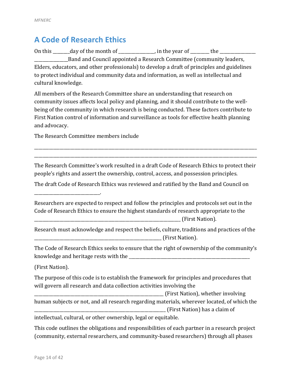## <span id="page-19-0"></span>**A Code of Research Ethics**

On this  $\_\_\_\_\_\_\_\_$  day of the month of  $\_\_\_\_\_\_\_\_\_$  in the year of  $\_\_\_\_\_\_\_\_\_$  the  $\_\_\_\_\_\_\_\_\_$ **EXECUTE:** Band and Council appointed a Research Committee (community leaders, Elders, educators, and other professionals) to develop a draft of principles and guidelines to protect individual and community data and information, as well as intellectual and cultural knowledge.

All members of the Research Committee share an understanding that research on community issues affects local policy and planning, and it should contribute to the wellbeing of the community in which research is being conducted. These factors contribute to First Nation control of information and surveillance as tools for effective health planning and advocacy.

The Research Committee members include

\_\_\_\_\_\_\_\_\_\_\_\_\_\_\_\_\_\_\_\_\_\_\_\_\_\_\_\_\_\_\_.

The Research Committee's work resulted in a draft Code of Research Ethics to protect their people's rights and assert the ownership, control, access, and possession principles.

\_\_\_\_\_\_\_\_\_\_\_\_\_\_\_\_\_\_\_\_\_\_\_\_\_\_\_\_\_\_\_\_\_\_\_\_\_\_\_\_\_\_\_\_\_\_\_\_\_\_\_\_\_\_\_\_\_\_\_\_\_\_\_\_\_\_\_\_\_\_\_\_\_\_\_\_\_\_\_\_\_\_\_\_\_\_\_\_\_\_\_\_\_\_\_\_\_\_\_\_\_\_\_\_\_ \_\_\_\_\_\_\_\_\_\_\_\_\_\_\_\_\_\_\_\_\_\_\_\_\_\_\_\_\_\_\_\_\_\_\_\_\_\_\_\_\_\_\_\_\_\_\_\_\_\_\_\_\_\_\_\_\_\_\_\_\_\_\_\_\_\_\_\_\_\_\_\_\_\_\_\_\_\_\_\_\_\_\_\_\_\_\_\_\_\_\_\_\_\_\_\_\_\_\_\_\_\_\_\_\_

The draft Code of Research Ethics was reviewed and ratified by the Band and Council on

Researchers are expected to respect and follow the principles and protocols set out in the Code of Research Ethics to ensure the highest standards of research appropriate to the \_\_\_\_\_\_\_\_\_\_\_\_\_\_\_\_\_\_\_\_\_\_\_\_\_\_\_\_\_\_\_\_\_\_\_\_\_\_\_\_\_\_\_\_\_\_\_\_\_\_\_\_\_\_\_\_\_\_\_\_\_\_\_\_\_\_\_\_\_ (First Nation).

Research must acknowledge and respect the beliefs, culture, traditions and practices of the \_\_\_\_\_\_\_\_\_\_\_\_\_\_\_\_\_\_\_\_\_\_\_\_\_\_\_\_\_\_\_\_\_\_\_\_\_\_\_\_\_\_\_\_\_\_\_\_\_\_\_\_\_\_\_\_\_\_\_\_ (First Nation).

The Code of Research Ethics seeks to ensure that the right of ownership of the community's knowledge and heritage rests with the \_\_\_\_\_\_\_\_\_\_\_\_\_\_\_\_\_\_\_\_\_\_\_\_\_\_\_\_\_\_\_\_\_\_\_\_\_\_\_\_\_\_\_\_\_\_\_\_\_\_\_\_\_\_\_\_\_

(First Nation).

The purpose of this code is to establish the framework for principles and procedures that will govern all research and data collection activities involving the

\_\_\_\_\_\_\_\_\_\_\_\_\_\_\_\_\_\_\_\_\_\_\_\_\_\_\_\_\_\_\_\_\_\_\_\_\_\_\_\_\_\_\_\_\_\_\_\_\_\_\_\_\_\_\_\_\_\_\_\_\_ (First Nation), whether involving human subjects or not, and all research regarding materials, wherever located, of which the \_\_\_\_\_\_\_\_\_\_\_\_\_\_\_\_\_\_\_\_\_\_\_\_\_\_\_\_\_\_\_\_\_\_\_\_\_\_\_\_\_\_\_\_\_\_\_\_\_\_\_\_\_\_\_\_\_\_\_\_\_\_ (First Nation) has a claim of

intellectual, cultural, or other ownership, legal or equitable.

This code outlines the obligations and responsibilities of each partner in a research project (community, external researchers, and community-based researchers) through all phases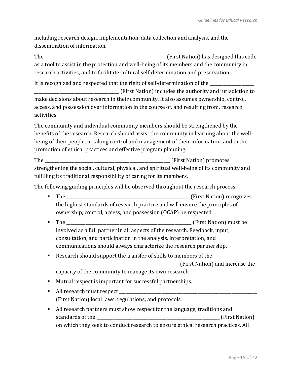including research design, implementation, data collection and analysis, and the dissemination of information.

The \_\_\_\_\_\_\_\_\_\_\_\_\_\_\_\_\_\_\_\_\_\_\_\_\_\_\_\_\_\_\_\_\_\_\_\_\_\_\_\_\_\_\_\_\_\_\_\_\_\_\_\_\_\_\_\_\_ (First Nation) has designed this code as a tool to assist in the protection and well-being of its members and the community in research activities, and to facilitate cultural self-determination and preservation.

It is recognized and respected that the right of self-determination of the \_\_\_\_\_\_\_\_\_\_\_\_\_\_\_\_\_ \_\_\_\_\_\_\_\_\_\_\_\_\_\_\_\_\_\_\_\_\_\_\_\_\_\_\_\_\_\_\_\_\_\_\_\_\_\_\_\_ (First Nation) includes the authority and jurisdiction to make decisions about research in their community. It also assumes ownership, control, access, and possession over information in the course of, and resulting from, research activities.

The community and individual community members should be strengthened by the benefits of the research. Research should assist the community in learning about the wellbeing of their people, in taking control and management of their information, and in the promotion of ethical practices and effective program planning.

The the contraction of the contraction of the contraction of the contraction of the contraction of the contraction of the contraction of the contraction of the contraction of the contraction of the contraction of the contr strengthening the social, cultural, physical, and spiritual well-being of its community and fulfilling its traditional responsibility of caring for its members.

The following guiding principles will be observed throughout the research process:

- The \_\_\_\_\_\_\_\_\_\_\_\_\_\_\_\_\_\_\_\_\_\_\_\_\_\_\_\_\_\_\_\_\_\_\_\_\_\_\_\_\_\_\_\_\_\_\_\_\_\_\_\_\_\_\_\_\_\_ (First Nation) recognizes the highest standards of research practice and will ensure the principles of ownership, control, access, and possession (OCAP) be respected.
- The \_\_\_\_\_\_\_\_\_\_\_\_\_\_\_\_\_\_\_\_\_\_\_\_\_\_\_\_\_\_\_\_\_\_\_\_\_\_\_\_\_\_\_\_\_\_\_\_\_\_\_\_\_\_\_\_\_\_\_ (First Nation) must be involved as a full partner in all aspects of the research. Feedback, input, consultation, and participation in the analysis, interpretation, and communications should always characterize the research partnership.
- Research should support the transfer of skills to members of the \_\_\_\_\_\_\_\_\_\_\_\_\_\_\_\_\_\_\_\_\_\_\_\_\_\_\_\_\_\_\_\_\_\_\_\_\_\_\_\_\_\_\_\_\_\_\_\_\_\_\_\_\_\_\_\_\_\_ (First Nation) and increase the capacity of the community to manage its own research.
- Mutual respect is important for successful partnerships.
- All research must respect \_\_\_\_\_\_\_\_\_\_\_\_\_\_\_\_\_\_\_\_\_\_\_\_\_\_\_\_\_\_\_\_\_\_\_\_\_\_\_\_\_\_\_\_\_\_\_\_\_\_\_\_\_\_\_\_\_\_\_\_\_\_\_\_\_ (First Nation) local laws, regulations, and protocols.
- All research partners must show respect for the language, traditions and standards of the the standards of the standards of the standards of the standards of the standards of the standards of the standards of the standards of the standards of the standards of the standards of the standards of t on which they seek to conduct research to ensure ethical research practices. All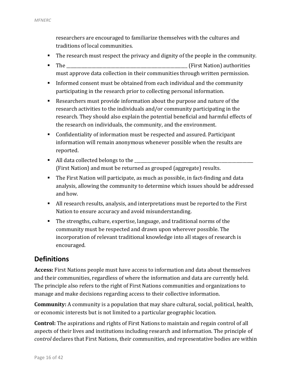researchers are encouraged to familiarize themselves with the cultures and traditions of local communities.

- The research must respect the privacy and dignity of the people in the community.
- The \_\_\_\_\_\_\_\_\_\_\_\_\_\_\_\_\_\_\_\_\_\_\_\_\_\_\_\_\_\_\_\_\_\_\_\_\_\_\_\_\_\_\_\_\_\_\_\_\_\_\_\_\_\_\_\_\_ (First Nation) authorities must approve data collection in their communities through written permission.
- Informed consent must be obtained from each individual and the community participating in the research prior to collecting personal information.
- Researchers must provide information about the purpose and nature of the research activities to the individuals and/or community participating in the research. They should also explain the potential beneficial and harmful effects of the research on individuals, the community, and the environment.
- Confidentiality of information must be respected and assured. Participant information will remain anonymous whenever possible when the results are reported.
- $\blacksquare$  All data collected belongs to the (First Nation) and must be returned as grouped (aggregate) results.
- The First Nation will participate, as much as possible, in fact-finding and data analysis, allowing the community to determine which issues should be addressed and how.
- All research results, analysis, and interpretations must be reported to the First Nation to ensure accuracy and avoid misunderstanding.
- The strengths, culture, expertise, language, and traditional norms of the community must be respected and drawn upon wherever possible. The incorporation of relevant traditional knowledge into all stages of research is encouraged.

### **Definitions**

**Access:** First Nations people must have access to information and data about themselves and their communities, regardless of where the information and data are currently held. The principle also refers to the right of First Nations communities and organizations to manage and make decisions regarding access to their collective information.

**Community:** A community is a population that may share cultural, social, political, health, or economic interests but is not limited to a particular geographic location.

**Control:** The aspirations and rights of First Nations to maintain and regain control of all aspects of their lives and institutions including research and information. The principle of *control* declares that First Nations, their communities, and representative bodies are within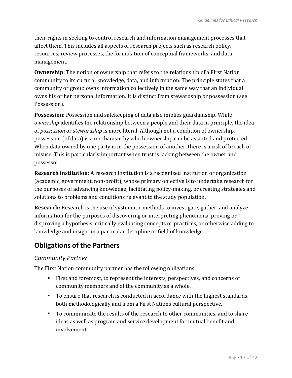their rights in seeking to control research and information management processes that affect them. This includes all aspects of research projects such as research policy, resources, review processes, the formulation of conceptual frameworks, and data management.

**Ownership:** The notion of ownership that refers to the relationship of a First Nation community to its cultural knowledge, data, and information. The principle states that a community or group owns information collectively in the same way that an individual owns his or her personal information. It is distinct from stewardship or possession (see Possession).

**Possession:** Possession and safekeeping of data also implies guardianship. While *ownership* identifies the relationship between a people and their data in principle, the idea of *possession* or *stewardship* is more literal. Although not a condition of ownership, possession (of data) is a mechanism by which ownership can be asserted and protected. When data owned by one party is in the possession of another, there is a risk of breach or misuse. This is particularly important when trust is lacking between the owner and possessor.

**Research institution:** A research institution is a recognized institution or organization (academic, government, non-profit), whose primary objective is to undertake research for the purposes of advancing knowledge, facilitating policy-making, or creating strategies and solutions to problems and conditions relevant to the study population.

**Research:** Research is the use of systematic methods to investigate, gather, and analyze information for the purposes of discovering or interpreting phenomena, proving or disproving a hypothesis, critically evaluating concepts or practices, or otherwise adding to knowledge and insight in a particular discipline or field of knowledge.

### **Obligations of the Partners**

### *Community Partner*

The First Nation community partner has the following obligations:

- First and foremost, to represent the interests, perspectives, and concerns of community members and of the community as a whole.
- To ensure that research is conducted in accordance with the highest standards, both methodologically and from a First Nations cultural perspective.
- To communicate the results of the research to other communities, and to share ideas as well as program and service development for mutual benefit and involvement.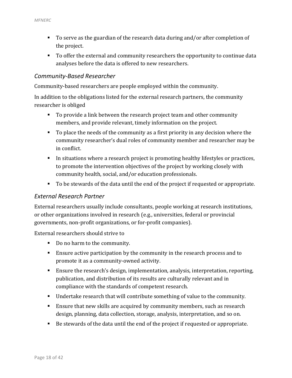- To serve as the guardian of the research data during and/or after completion of the project.
- To offer the external and community researchers the opportunity to continue data analyses before the data is offered to new researchers.

### *Community-Based Researcher*

Community-based researchers are people employed within the community.

In addition to the obligations listed for the external research partners, the community researcher is obliged

- To provide a link between the research project team and other community members, and provide relevant, timely information on the project.
- To place the needs of the community as a first priority in any decision where the community researcher's dual roles of community member and researcher may be in conflict.
- In situations where a research project is promoting healthy lifestyles or practices, to promote the intervention objectives of the project by working closely with community health, social, and/or education professionals.
- To be stewards of the data until the end of the project if requested or appropriate.

#### *External Research Partner*

External researchers usually include consultants, people working at research institutions, or other organizations involved in research (e.g., universities, federal or provincial governments, non-profit organizations, or for-profit companies).

External researchers should strive to

- Do no harm to the community.
- Ensure active participation by the community in the research process and to promote it as a community-owned activity.
- Ensure the research's design, implementation, analysis, interpretation, reporting, publication, and distribution of its results are culturally relevant and in compliance with the standards of competent research.
- Undertake research that will contribute something of value to the community.
- Ensure that new skills are acquired by community members, such as research design, planning, data collection, storage, analysis, interpretation, and so on.
- Be stewards of the data until the end of the project if requested or appropriate.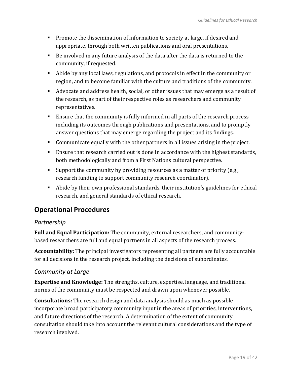- **Promote the dissemination of information to society at large, if desired and** appropriate, through both written publications and oral presentations.
- Be involved in any future analysis of the data after the data is returned to the community, if requested.
- Abide by any local laws, regulations, and protocols in effect in the community or region, and to become familiar with the culture and traditions of the community.
- Advocate and address health, social, or other issues that may emerge as a result of the research, as part of their respective roles as researchers and community representatives.
- Ensure that the community is fully informed in all parts of the research process including its outcomes through publications and presentations, and to promptly answer questions that may emerge regarding the project and its findings.
- Communicate equally with the other partners in all issues arising in the project.
- **Ensure that research carried out is done in accordance with the highest standards,** both methodologically and from a First Nations cultural perspective.
- Support the community by providing resources as a matter of priority (e.g., research funding to support community research coordinator).
- Abide by their own professional standards, their institution's guidelines for ethical research, and general standards of ethical research.

### **Operational Procedures**

### *Partnership*

**Full and Equal Participation:** The community, external researchers, and communitybased researchers are full and equal partners in all aspects of the research process.

**Accountability:** The principal investigators representing all partners are fully accountable for all decisions in the research project, including the decisions of subordinates.

### *Community at Large*

**Expertise and Knowledge:** The strengths, culture, expertise, language, and traditional norms of the community must be respected and drawn upon whenever possible.

**Consultations:** The research design and data analysis should as much as possible incorporate broad participatory community input in the areas of priorities, interventions, and future directions of the research. A determination of the extent of community consultation should take into account the relevant cultural considerations and the type of research involved.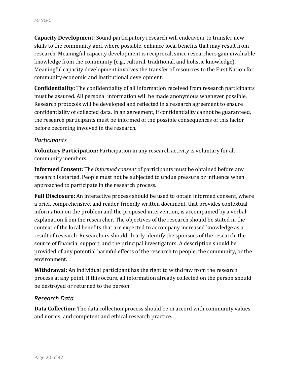**Capacity Development:** Sound participatory research will endeavour to transfer new skills to the community and, where possible, enhance local benefits that may result from research. Meaningful capacity development is reciprocal, since researchers gain invaluable knowledge from the community (e.g., cultural, traditional, and holistic knowledge). Meaningful capacity development involves the transfer of resources to the First Nation for community economic and institutional development.

**Confidentiality:** The confidentiality of all information received from research participants must be assured. All personal information will be made anonymous whenever possible. Research protocols will be developed and reflected in a research agreement to ensure confidentiality of collected data. In an agreement, if confidentiality cannot be guaranteed, the research participants must be informed of the possible consequences of this factor before becoming involved in the research.

#### *Participants*

**Voluntary Participation:** Participation in any research activity is voluntary for all community members.

**Informed Consent:** The *informed consent* of participants must be obtained before any research is started. People must not be subjected to undue pressure or influence when approached to participate in the research process.

**Full Disclosure:** An interactive process should be used to obtain informed consent, where a brief, comprehensive, and reader-friendly written document, that provides contextual information on the problem and the proposed intervention, is accompanied by a verbal explanation from the researcher. The objectives of the research should be stated in the context of the local benefits that are expected to accompany increased knowledge as a result of research. Researchers should clearly identify the sponsors of the research, the source of financial support, and the principal investigators. A description should be provided of any potential harmful effects of the research to people, the community, or the environment.

**Withdrawal:** An individual participant has the right to withdraw from the research process at any point. If this occurs, all information already collected on the person should be destroyed or returned to the person.

#### *Research Data*

**Data Collection:** The data collection process should be in accord with community values and norms, and competent and ethical research practice.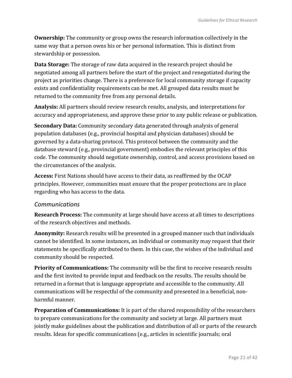**Ownership:** The community or group owns the research information collectively in the same way that a person owns his or her personal information. This is distinct from stewardship or possession.

**Data Storage:** The storage of raw data acquired in the research project should be negotiated among all partners before the start of the project and renegotiated during the project as priorities change. There is a preference for local community storage if capacity exists and confidentiality requirements can be met. All grouped data results must be returned to the community free from any personal details.

**Analysis:** All partners should review research results, analysis, and interpretations for accuracy and appropriateness, and approve these prior to any public release or publication.

**Secondary Data:** Community secondary data generated through analysis of general population databases (e.g., provincial hospital and physician databases) should be governed by a data-sharing protocol. This protocol between the community and the database steward (e.g., provincial government) embodies the relevant principles of this code. The community should negotiate ownership, control, and access provisions based on the circumstances of the analysis.

**Access:** First Nations should have access to their data, as reaffirmed by the OCAP principles. However, communities must ensure that the proper protections are in place regarding who has access to the data.

### *Communications*

**Research Process:** The community at large should have access at all times to descriptions of the research objectives and methods.

**Anonymity:** Research results will be presented in a grouped manner such that individuals cannot be identified. In some instances, an individual or community may request that their statements be specifically attributed to them. In this case, the wishes of the individual and community should be respected.

**Priority of Communications:** The community will be the first to receive research results and the first invited to provide input and feedback on the results. The results should be returned in a format that is language appropriate and accessible to the community. All communications will be respectful of the community and presented in a beneficial, nonharmful manner.

**Preparation of Communications:** It is part of the shared responsibility of the researchers to prepare communications for the community and society at large. All partners must jointly make guidelines about the publication and distribution of all or parts of the research results. Ideas for specific communications (e.g., articles in scientific journals; oral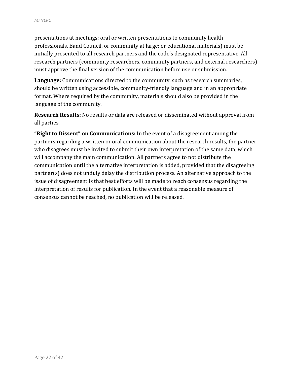presentations at meetings; oral or written presentations to community health professionals, Band Council, or community at large; or educational materials) must be initially presented to all research partners and the code's designated representative. All research partners (community researchers, community partners, and external researchers) must approve the final version of the communication before use or submission.

**Language:** Communications directed to the community, such as research summaries, should be written using accessible, community-friendly language and in an appropriate format. Where required by the community, materials should also be provided in the language of the community.

**Research Results:** No results or data are released or disseminated without approval from all parties.

**"Right to Dissent" on Communications:** In the event of a disagreement among the partners regarding a written or oral communication about the research results, the partner who disagrees must be invited to submit their own interpretation of the same data, which will accompany the main communication. All partners agree to not distribute the communication until the alternative interpretation is added, provided that the disagreeing partner(s) does not unduly delay the distribution process. An alternative approach to the issue of disagreement is that best efforts will be made to reach consensus regarding the interpretation of results for publication. In the event that a reasonable measure of consensus cannot be reached, no publication will be released.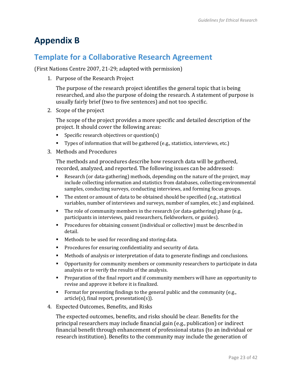# <span id="page-28-0"></span>**Appendix B**

### <span id="page-28-1"></span>**Template for a Collaborative Research Agreement**

(First Nations Centre 2007, 21-29; adapted with permission)

1. Purpose of the Research Project

The purpose of the research project identifies the general topic that is being researched, and also the purpose of doing the research. A statement of purpose is usually fairly brief (two to five sentences) and not too specific.

2. Scope of the project

The scope of the project provides a more specific and detailed description of the project. It should cover the following areas:

- **Specific research objectives or question(s)**
- Types of information that will be gathered (e.g., statistics, interviews, etc.)
- 3. Methods and Procedures

The methods and procedures describe how research data will be gathered, recorded, analyzed, and reported. The following issues can be addressed:

- Research (or data-gathering) methods, depending on the nature of the project, may include collecting information and statistics from databases, collecting environmental samples, conducting surveys, conducting interviews, and forming focus groups.
- The extent or amount of data to be obtained should be specified (e.g., statistical variables, number of interviews and surveys, number of samples, etc.) and explained.
- The role of community members in the research (or data-gathering) phase (e.g., participants in interviews, paid researchers, fieldworkers, or guides).
- Procedures for obtaining consent (individual or collective) must be described in detail.
- **Methods to be used for recording and storing data.**
- **Procedures for ensuring confidentiality and security of data.**
- Methods of analysis or interpretation of data to generate findings and conclusions.
- Opportunity for community members or community researchers to participate in data analysis or to verify the results of the analysis.
- Preparation of the final report and if community members will have an opportunity to revise and approve it before it is finalized.
- Format for presenting findings to the general public and the community (e.g., article(s), final report, presentation(s)).
- 4. Expected Outcomes, Benefits, and Risks

The expected outcomes, benefits, and risks should be clear. Benefits for the principal researchers may include financial gain (e.g., publication) or indirect financial benefit through enhancement of professional status (to an individual or research institution). Benefits to the community may include the generation of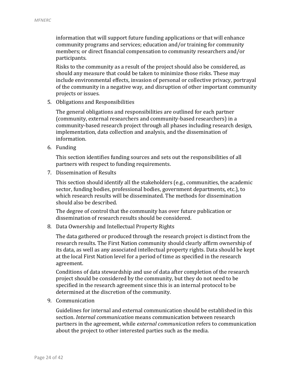information that will support future funding applications or that will enhance community programs and services; education and/or training for community members; or direct financial compensation to community researchers and/or participants.

Risks to the community as a result of the project should also be considered, as should any measure that could be taken to minimize those risks. These may include environmental effects, invasion of personal or collective privacy, portrayal of the community in a negative way, and disruption of other important community projects or issues.

5. Obligations and Responsibilities

The general obligations and responsibilities are outlined for each partner (community, external researchers and community-based researchers) in a community-based research project through all phases including research design, implementation, data collection and analysis, and the dissemination of information.

6. Funding

This section identifies funding sources and sets out the responsibilities of all partners with respect to funding requirements.

7. Dissemination of Results

This section should identify all the stakeholders (e.g., communities, the academic sector, funding bodies, professional bodies, government departments, etc.), to which research results will be disseminated. The methods for dissemination should also be described.

The degree of control that the community has over future publication or dissemination of research results should be considered.

8. Data Ownership and Intellectual Property Rights

The data gathered or produced through the research project is distinct from the research results. The First Nation community should clearly affirm ownership of its data, as well as any associated intellectual property rights. Data should be kept at the local First Nation level for a period of time as specified in the research agreement.

Conditions of data stewardship and use of data after completion of the research project should be considered by the community, but they do not need to be specified in the research agreement since this is an internal protocol to be determined at the discretion of the community.

9. Communication

Guidelines for internal and external communication should be established in this section. *Internal communication* means communication between research partners in the agreement, while *external communication* refers to communication about the project to other interested parties such as the media.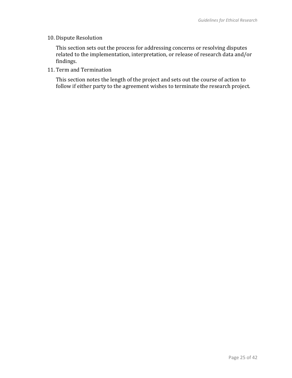#### 10. Dispute Resolution

This section sets out the process for addressing concerns or resolving disputes related to the implementation, interpretation, or release of research data and/or findings.

11. Term and Termination

This section notes the length of the project and sets out the course of action to follow if either party to the agreement wishes to terminate the research project.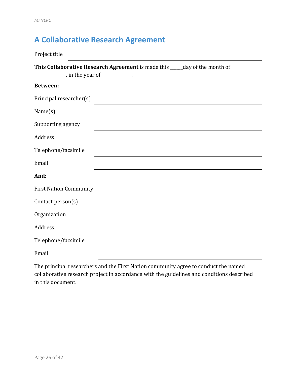# <span id="page-31-0"></span>**A Collaborative Research Agreement**

| Project title                                                                                                            |  |  |  |  |
|--------------------------------------------------------------------------------------------------------------------------|--|--|--|--|
| This Collaborative Research Agreement is made this ____ day of the month of<br>$\frac{1}{2}$ in the year of ___________. |  |  |  |  |
| <b>Between:</b>                                                                                                          |  |  |  |  |
| Principal researcher(s)                                                                                                  |  |  |  |  |
| Name(s)                                                                                                                  |  |  |  |  |
| Supporting agency                                                                                                        |  |  |  |  |
| Address                                                                                                                  |  |  |  |  |
| Telephone/facsimile                                                                                                      |  |  |  |  |
| Email                                                                                                                    |  |  |  |  |
| And:                                                                                                                     |  |  |  |  |
| <b>First Nation Community</b>                                                                                            |  |  |  |  |
| Contact person(s)                                                                                                        |  |  |  |  |
| Organization                                                                                                             |  |  |  |  |
| Address                                                                                                                  |  |  |  |  |
| Telephone/facsimile                                                                                                      |  |  |  |  |
| Email                                                                                                                    |  |  |  |  |

The principal researchers and the First Nation community agree to conduct the named collaborative research project in accordance with the guidelines and conditions described in this document.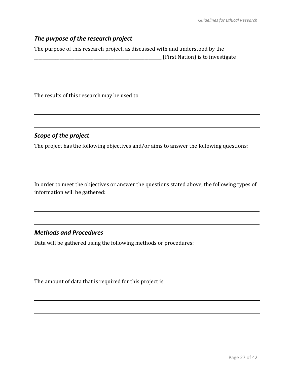### *The purpose of the research project*

The purpose of this research project, as discussed with and understood by the \_\_\_\_\_\_\_\_\_\_\_\_\_\_\_\_\_\_\_\_\_\_\_\_\_\_\_\_\_\_\_\_\_\_\_\_\_\_\_\_\_\_\_\_\_\_\_\_\_\_\_\_\_\_\_\_\_\_\_\_ (First Nation) is to investigate

The results of this research may be used to

### *Scope of the project*

The project has the following objectives and/or aims to answer the following questions:

In order to meet the objectives or answer the questions stated above, the following types of information will be gathered:

### *Methods and Procedures*

Data will be gathered using the following methods or procedures:

The amount of data that is required for this project is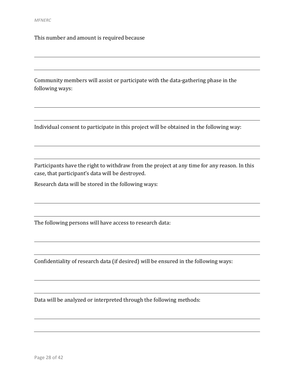This number and amount is required because

Community members will assist or participate with the data-gathering phase in the following ways:

Individual consent to participate in this project will be obtained in the following way:

Participants have the right to withdraw from the project at any time for any reason. In this case, that participant's data will be destroyed.

Research data will be stored in the following ways:

The following persons will have access to research data:

Confidentiality of research data (if desired) will be ensured in the following ways:

Data will be analyzed or interpreted through the following methods: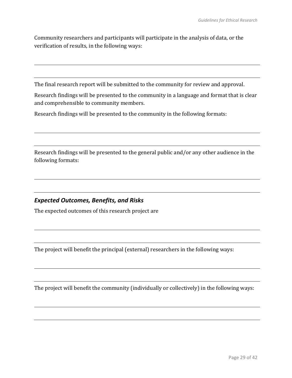Community researchers and participants will participate in the analysis of data, or the verification of results, in the following ways:

The final research report will be submitted to the community for review and approval.

Research findings will be presented to the community in a language and format that is clear and comprehensible to community members.

Research findings will be presented to the community in the following formats:

Research findings will be presented to the general public and/or any other audience in the following formats:

### *Expected Outcomes, Benefits, and Risks*

The expected outcomes of this research project are

The project will benefit the principal (external) researchers in the following ways:

The project will benefit the community (individually or collectively) in the following ways: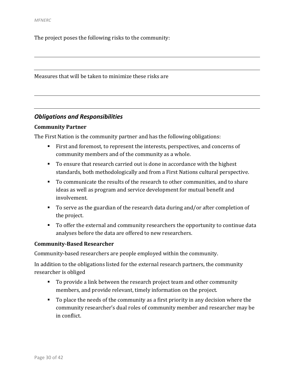The project poses the following risks to the community:

Measures that will be taken to minimize these risks are

#### *Obligations and Responsibilities*

#### **Community Partner**

The First Nation is the community partner and has the following obligations:

- First and foremost, to represent the interests, perspectives, and concerns of community members and of the community as a whole.
- To ensure that research carried out is done in accordance with the highest standards, both methodologically and from a First Nations cultural perspective.
- To communicate the results of the research to other communities, and to share ideas as well as program and service development for mutual benefit and involvement.
- To serve as the guardian of the research data during and/or after completion of the project.
- To offer the external and community researchers the opportunity to continue data analyses before the data are offered to new researchers.

#### **Community-Based Researcher**

Community-based researchers are people employed within the community.

In addition to the obligations listed for the external research partners, the community researcher is obliged

- To provide a link between the research project team and other community members, and provide relevant, timely information on the project.
- To place the needs of the community as a first priority in any decision where the community researcher's dual roles of community member and researcher may be in conflict.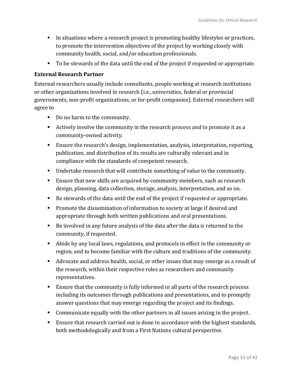- In situations where a research project is promoting healthy lifestyles or practices, to promote the intervention objectives of the project by working closely with community health, social, and/or education professionals.
- To be stewards of the data until the end of the project if requested or appropriate.

#### **External Research Partner**

External researchers usually include consultants, people working at research institutions or other organizations involved in research (i.e., universities, federal or provincial governments, non-profit organizations, or for-profit companies). External researchers will agree to

- Do no harm to the community.
- Actively involve the community in the research process and to promote it as a community-owned activity.
- Ensure the research's design, implementation, analysis, interpretation, reporting, publication, and distribution of its results are culturally relevant and in compliance with the standards of competent research.
- Undertake research that will contribute something of value to the community.
- **Ensure that new skills are acquired by community members, such as research** design, planning, data collection, storage, analysis, interpretation, and so on.
- Be stewards of the data until the end of the project if requested or appropriate.
- **Promote the dissemination of information to society at large if desired and** appropriate through both written publications and oral presentations.
- Be involved in any future analysis of the data after the data is returned to the community, if requested.
- Abide by any local laws, regulations, and protocols in effect in the community or region, and to become familiar with the culture and traditions of the community.
- Advocate and address health, social, or other issues that may emerge as a result of the research, within their respective roles as researchers and community representatives.
- Ensure that the community is fully informed in all parts of the research process including its outcomes through publications and presentations, and to promptly answer questions that may emerge regarding the project and its findings.
- Communicate equally with the other partners in all issues arising in the project.
- **Ensure that research carried out is done in accordance with the highest standards,** both methodologically and from a First Nations cultural perspective.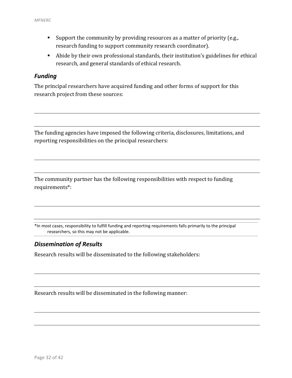- Support the community by providing resources as a matter of priority (e.g., research funding to support community research coordinator).
- Abide by their own professional standards, their institution's guidelines for ethical research, and general standards of ethical research.

#### *Funding*

The principal researchers have acquired funding and other forms of support for this research project from these sources:

The funding agencies have imposed the following criteria, disclosures, limitations, and reporting responsibilities on the principal researchers:

The community partner has the following responsibilities with respect to funding requirements\*:

\*In most cases, responsibility to fulfill funding and reporting requirements falls primarily to the principal researchers, so this may not be applicable.

### *Dissemination of Results*

Research results will be disseminated to the following stakeholders:

Research results will be disseminated in the following manner: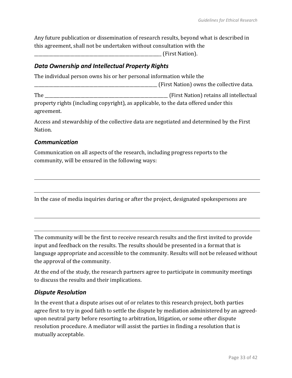Any future publication or dissemination of research results, beyond what is described in this agreement, shall not be undertaken without consultation with the

\_\_\_\_\_\_\_\_\_\_\_\_\_\_\_\_\_\_\_\_\_\_\_\_\_\_\_\_\_\_\_\_\_\_\_\_\_\_\_\_\_\_\_\_\_\_\_\_\_\_\_\_\_\_\_\_\_\_\_\_ (First Nation).

#### *Data Ownership and Intellectual Property Rights*

The individual person owns his or her personal information while the

\_\_\_\_\_\_\_\_\_\_\_\_\_\_\_\_\_\_\_\_\_\_\_\_\_\_\_\_\_\_\_\_\_\_\_\_\_\_\_\_\_\_\_\_\_\_\_\_\_\_\_\_\_\_\_\_\_\_ (First Nation) owns the collective data.

The the contraction of the contraction of the contraction of the contraction of the contraction of the contraction of the contraction of the contraction of the contraction of the contraction of the contraction of the contr property rights (including copyright), as applicable, to the data offered under this

agreement.

Access and stewardship of the collective data are negotiated and determined by the First Nation.

#### *Communication*

Communication on all aspects of the research, including progress reports to the community, will be ensured in the following ways:

In the case of media inquiries during or after the project, designated spokespersons are

The community will be the first to receive research results and the first invited to provide input and feedback on the results. The results should be presented in a format that is language appropriate and accessible to the community. Results will not be released without the approval of the community.

At the end of the study, the research partners agree to participate in community meetings to discuss the results and their implications.

### *Dispute Resolution*

In the event that a dispute arises out of or relates to this research project, both parties agree first to try in good faith to settle the dispute by mediation administered by an agreedupon neutral party before resorting to arbitration, litigation, or some other dispute resolution procedure. A mediator will assist the parties in finding a resolution that is mutually acceptable.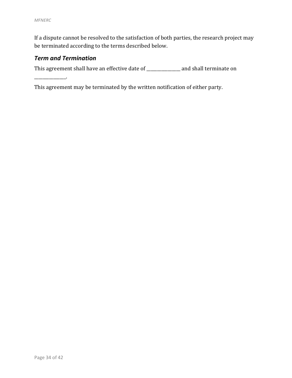If a dispute cannot be resolved to the satisfaction of both parties, the research project may be terminated according to the terms described below.

### *Term and Termination*

\_\_\_\_\_\_\_\_\_\_\_\_\_\_\_.

This agreement shall have an effective date of \_\_\_\_\_\_\_\_\_\_\_\_\_\_\_\_ and shall terminate on

This agreement may be terminated by the written notification of either party.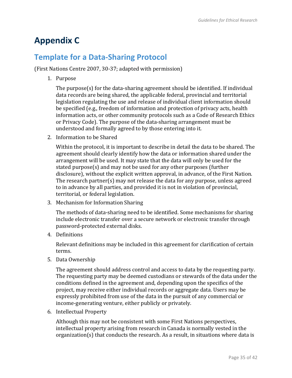# <span id="page-40-0"></span>**Appendix C**

### <span id="page-40-1"></span>**Template for a Data-Sharing Protocol**

(First Nations Centre 2007, 30-37; adapted with permission)

1. Purpose

The purpose(s) for the data-sharing agreement should be identified. If individual data records are being shared, the applicable federal, provincial and territorial legislation regulating the use and release of individual client information should be specified (e.g., freedom of information and protection of privacy acts, health information acts, or other community protocols such as a Code of Research Ethics or Privacy Code). The purpose of the data-sharing arrangement must be understood and formally agreed to by those entering into it.

2. Information to be Shared

Within the protocol, it is important to describe in detail the data to be shared. The agreement should clearly identify how the data or information shared under the arrangement will be used. It may state that the data will only be used for the stated purpose(s) and may not be used for any other purposes (further disclosure), without the explicit written approval, in advance, of the First Nation. The research partner(s) may not release the data for any purpose, unless agreed to in advance by all parties, and provided it is not in violation of provincial, territorial, or federal legislation.

3. Mechanism for Information Sharing

The methods of data-sharing need to be identified. Some mechanisms for sharing include electronic transfer over a secure network or electronic transfer through password-protected external disks.

4. Definitions

Relevant definitions may be included in this agreement for clarification of certain terms.

5. Data Ownership

The agreement should address control and access to data by the requesting party. The requesting party may be deemed custodians or stewards of the data under the conditions defined in the agreement and, depending upon the specifics of the project, may receive either individual records or aggregate data. Users may be expressly prohibited from use of the data in the pursuit of any commercial or income-generating venture, either publicly or privately.

6. Intellectual Property

Although this may not be consistent with some First Nations perspectives, intellectual property arising from research in Canada is normally vested in the organization(s) that conducts the research. As a result, in situations where data is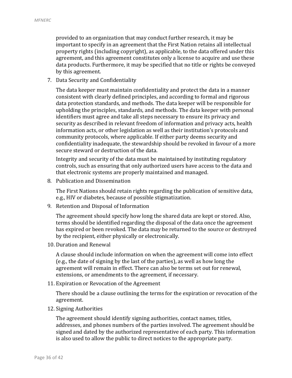provided to an organization that may conduct further research, it may be important to specify in an agreement that the First Nation retains all intellectual property rights (including copyright), as applicable, to the data offered under this agreement, and this agreement constitutes only a license to acquire and use these data products. Furthermore, it may be specified that no title or rights be conveyed by this agreement.

7. Data Security and Confidentiality

The data keeper must maintain confidentiality and protect the data in a manner consistent with clearly defined principles, and according to formal and rigorous data protection standards, and methods. The data keeper will be responsible for upholding the principles, standards, and methods. The data keeper with personal identifiers must agree and take all steps necessary to ensure its privacy and security as described in relevant freedom of information and privacy acts, health information acts, or other legislation as well as their institution's protocols and community protocols, where applicable. If either party deems security and confidentiality inadequate, the stewardship should be revoked in favour of a more secure steward or destruction of the data.

Integrity and security of the data must be maintained by instituting regulatory controls, such as ensuring that only authorized users have access to the data and that electronic systems are properly maintained and managed.

8. Publication and Dissemination

The First Nations should retain rights regarding the publication of sensitive data, e.g., HIV or diabetes, because of possible stigmatization.

9. Retention and Disposal of Information

The agreement should specify how long the shared data are kept or stored. Also, terms should be identified regarding the disposal of the data once the agreement has expired or been revoked. The data may be returned to the source or destroyed by the recipient, either physically or electronically.

10. Duration and Renewal

A clause should include information on when the agreement will come into effect (e.g., the date of signing by the last of the parties), as well as how long the agreement will remain in effect. There can also be terms set out for renewal, extensions, or amendments to the agreement, if necessary.

11. Expiration or Revocation of the Agreement

There should be a clause outlining the terms for the expiration or revocation of the agreement.

12. Signing Authorities

The agreement should identify signing authorities, contact names, titles, addresses, and phones numbers of the parties involved. The agreement should be signed and dated by the authorized representative of each party. This information is also used to allow the public to direct notices to the appropriate party.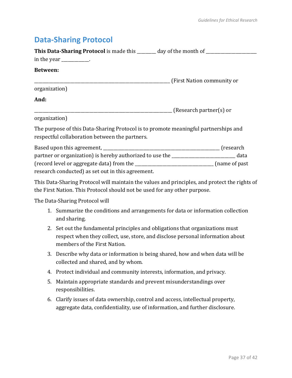### <span id="page-42-0"></span>**Data-Sharing Protocol**

| This Data-Sharing Protocol is made this _______ day of the month of _____________                                                     |                                         |
|---------------------------------------------------------------------------------------------------------------------------------------|-----------------------------------------|
| in the year ___________.                                                                                                              |                                         |
| Between:                                                                                                                              |                                         |
|                                                                                                                                       | (First Nation community or              |
| organization)                                                                                                                         |                                         |
| And:                                                                                                                                  |                                         |
|                                                                                                                                       | <b>EXECUTE:</b> (Research partner(s) or |
| organization)                                                                                                                         |                                         |
| The purpose of this Data-Sharing Protocol is to promote meaningful partnerships and<br>respectful collaboration between the partners. |                                         |
|                                                                                                                                       |                                         |
| partner or organization) is hereby authorized to use the _______________________                                                      | data                                    |
|                                                                                                                                       |                                         |

research conducted) as set out in this agreement.

This Data-Sharing Protocol will maintain the values and principles, and protect the rights of the First Nation. This Protocol should not be used for any other purpose.

The Data-Sharing Protocol will

- 1. Summarize the conditions and arrangements for data or information collection and sharing.
- 2. Set out the fundamental principles and obligations that organizations must respect when they collect, use, store, and disclose personal information about members of the First Nation.
- 3. Describe why data or information is being shared, how and when data will be collected and shared, and by whom.
- 4. Protect individual and community interests, information, and privacy.
- 5. Maintain appropriate standards and prevent misunderstandings over responsibilities.
- 6. Clarify issues of data ownership, control and access, intellectual property, aggregate data, confidentiality, use of information, and further disclosure.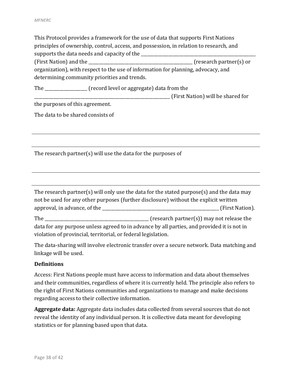This Protocol provides a framework for the use of data that supports First Nations principles of ownership, control, access, and possession, in relation to research, and supports the data needs and capacity of the (First Nation) and the \_\_\_\_\_\_\_\_\_\_\_\_\_\_\_\_\_\_\_\_\_\_\_\_\_\_\_\_\_\_\_\_\_\_\_\_\_\_\_\_\_\_\_\_\_\_\_\_\_ (research partner(s) or organization), with respect to the use of information for planning, advocacy, and determining community priorities and trends.

The \_\_\_\_\_\_\_\_\_\_\_\_\_\_\_\_\_\_\_\_ (record level or aggregate) data from the

\_\_\_\_\_\_\_\_\_\_\_\_\_\_\_\_\_\_\_\_\_\_\_\_\_\_\_\_\_\_\_\_\_\_\_\_\_\_\_\_\_\_\_\_\_\_\_\_\_\_\_\_\_\_\_\_\_\_\_\_\_\_\_\_ (First Nation) will be shared for

the purposes of this agreement.

The data to be shared consists of

The research partner(s) will use the data for the purposes of

The research partner(s) will only use the data for the stated purpose(s) and the data may not be used for any other purposes (further disclosure) without the explicit written approval, in advance, of the the set of the set of the set of the set of the set of the set of the set of the set of the set of the set of the set of the set of the set of the set of the set of the set of the set of the se

The contract the contract of the contract of the contract of the contract of the contract of the contract of the contract of the contract of the contract of the contract of the contract of the contract of the contract of t data for any purpose unless agreed to in advance by all parties, and provided it is not in violation of provincial, territorial, or federal legislation.

The data-sharing will involve electronic transfer over a secure network. Data matching and linkage will be used.

#### **Definitions**

Access: First Nations people must have access to information and data about themselves and their communities, regardless of where it is currently held. The principle also refers to the right of First Nations communities and organizations to manage and make decisions regarding access to their collective information.

**Aggregate data:** Aggregate data includes data collected from several sources that do not reveal the identity of any individual person. It is collective data meant for developing statistics or for planning based upon that data.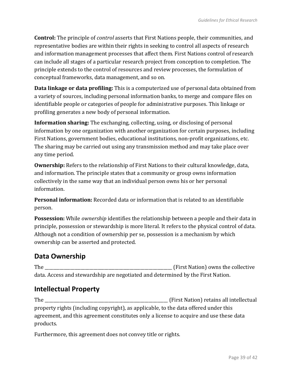**Control:** The principle of *control* asserts that First Nations people, their communities, and representative bodies are within their rights in seeking to control all aspects of research and information management processes that affect them. First Nations control of research can include all stages of a particular research project from conception to completion. The principle extends to the control of resources and review processes, the formulation of conceptual frameworks, data management, and so on.

**Data linkage or data profiling:** This is a computerized use of personal data obtained from a variety of sources, including personal information banks, to merge and compare files on identifiable people or categories of people for administrative purposes. This linkage or profiling generates a new body of personal information.

**Information sharing:** The exchanging, collecting, using, or disclosing of personal information by one organization with another organization for certain purposes, including First Nations, government bodies, educational institutions, non-profit organizations, etc. The sharing may be carried out using any transmission method and may take place over any time period.

**Ownership:** Refers to the relationship of First Nations to their cultural knowledge, data, and information. The principle states that a community or group owns information collectively in the same way that an individual person owns his or her personal information.

**Personal information:** Recorded data or information that is related to an identifiable person.

**Possession:** While *ownership* identifies the relationship between a people and their data in principle, possession or stewardship is more literal. It refers to the physical control of data. Although not a condition of ownership per se, possession is a mechanism by which ownership can be asserted and protected.

### **Data Ownership**

The \_\_\_\_\_\_\_\_\_\_\_\_\_\_\_\_\_\_\_\_\_\_\_\_\_\_\_\_\_\_\_\_\_\_\_\_\_\_\_\_\_\_\_\_\_\_\_\_\_\_\_\_\_\_\_\_\_\_\_\_ (First Nation) owns the collective data. Access and stewardship are negotiated and determined by the First Nation.

### **Intellectual Property**

The the contraction of the contraction of the contraction of the contraction of the contraction of the contraction of the contraction of the contraction of the contraction of the contraction of the contraction of the contr property rights (including copyright), as applicable, to the data offered under this agreement, and this agreement constitutes only a license to acquire and use these data products.

Furthermore, this agreement does not convey title or rights.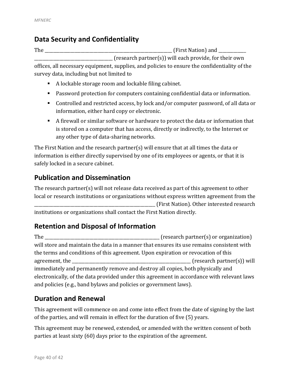### **Data Security and Confidentiality**

The the contract of the contract of the contract of the contract of the contract of the contract of the contract of the contract of the contract of the contract of the contract of the contract of the contract of the contra (research partner(s)) will each provide, for their own offices, all necessary equipment, supplies, and policies to ensure the confidentiality of the survey data, including but not limited to

- A lockable storage room and lockable filing cabinet.
- Password protection for computers containing confidential data or information.
- Controlled and restricted access, by lock and/or computer password, of all data or information, either hard copy or electronic.
- A firewall or similar software or hardware to protect the data or information that is stored on a computer that has access, directly or indirectly, to the Internet or any other type of data-sharing networks.

The First Nation and the research partner(s) will ensure that at all times the data or information is either directly supervised by one of its employees or agents, or that it is safely locked in a secure cabinet.

### **Publication and Dissemination**

The research partner(s) will not release data received as part of this agreement to other local or research institutions or organizations without express written agreement from the \_\_\_\_\_\_\_\_\_\_\_\_\_\_\_\_\_\_\_\_\_\_\_\_\_\_\_\_\_\_\_\_\_\_\_\_\_\_\_\_\_\_\_\_\_\_\_\_\_\_\_\_\_\_\_\_\_ (First Nation). Other interested research institutions or organizations shall contact the First Nation directly.

### **Retention and Disposal of Information**

The and the contraction contraction of the contraction of the contraction of the contraction of the contraction of the contraction of the contraction of the contraction of the contraction of the contraction of the contract will store and maintain the data in a manner that ensures its use remains consistent with the terms and conditions of this agreement. Upon expiration or revocation of this agreement, the \_\_\_\_\_\_\_\_\_\_\_\_\_\_\_\_\_\_\_\_\_\_\_\_\_\_\_\_\_\_\_\_\_\_\_\_\_\_\_\_\_\_\_\_\_\_\_\_\_\_\_\_\_\_\_\_ (research partner(s)) will immediately and permanently remove and destroy all copies, both physically and electronically, of the data provided under this agreement in accordance with relevant laws and policies (e.g., band bylaws and policies or government laws).

### **Duration and Renewal**

This agreement will commence on and come into effect from the date of signing by the last of the parties, and will remain in effect for the duration of five (5) years.

This agreement may be renewed, extended, or amended with the written consent of both parties at least sixty (60) days prior to the expiration of the agreement.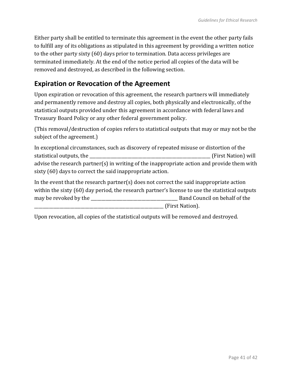Either party shall be entitled to terminate this agreement in the event the other party fails to fulfill any of its obligations as stipulated in this agreement by providing a written notice to the other party sixty (60) days prior to termination. Data access privileges are terminated immediately. At the end of the notice period all copies of the data will be removed and destroyed, as described in the following section.

### **Expiration or Revocation of the Agreement**

Upon expiration or revocation of this agreement, the research partners will immediately and permanently remove and destroy all copies, both physically and electronically, of the statistical outputs provided under this agreement in accordance with federal laws and Treasury Board Policy or any other federal government policy.

(This removal/destruction of copies refers to statistical outputs that may or may not be the subject of the agreement.)

In exceptional circumstances, such as discovery of repeated misuse or distortion of the statistical outputs, the the contract of the contract of the contract of the contract of the contract of the contract of the contract of the contract of the contract of the contract of the contract of the contract of the c advise the research partner(s) in writing of the inappropriate action and provide them with sixty (60) days to correct the said inappropriate action.

In the event that the research partner(s) does not correct the said inappropriate action within the sixty (60) day period, the research partner's license to use the statistical outputs may be revoked by the \_\_\_\_\_\_\_\_\_\_\_\_\_\_\_\_\_\_\_\_\_\_\_\_\_\_\_\_\_\_\_\_\_\_\_\_\_\_\_\_\_ Band Council on behalf of the

\_\_\_\_\_\_\_\_\_\_\_\_\_\_\_\_\_\_\_\_\_\_\_\_\_\_\_\_\_\_\_\_\_\_\_\_\_\_\_\_\_\_\_\_\_\_\_\_\_\_\_\_\_\_\_\_\_\_\_\_\_ (First Nation).

Upon revocation, all copies of the statistical outputs will be removed and destroyed.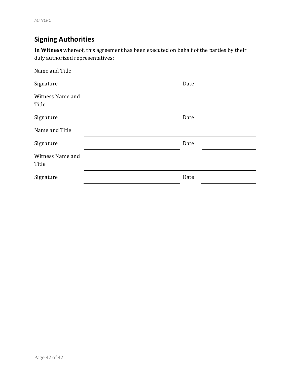## **Signing Authorities**

**In Witness** whereof, this agreement has been executed on behalf of the parties by their duly authorized representatives:

| Name and Title            |      |  |
|---------------------------|------|--|
| Signature                 | Date |  |
| Witness Name and<br>Title |      |  |
| Signature                 | Date |  |
| Name and Title            |      |  |
| Signature                 | Date |  |
| Witness Name and<br>Title |      |  |
| Signature                 | Date |  |